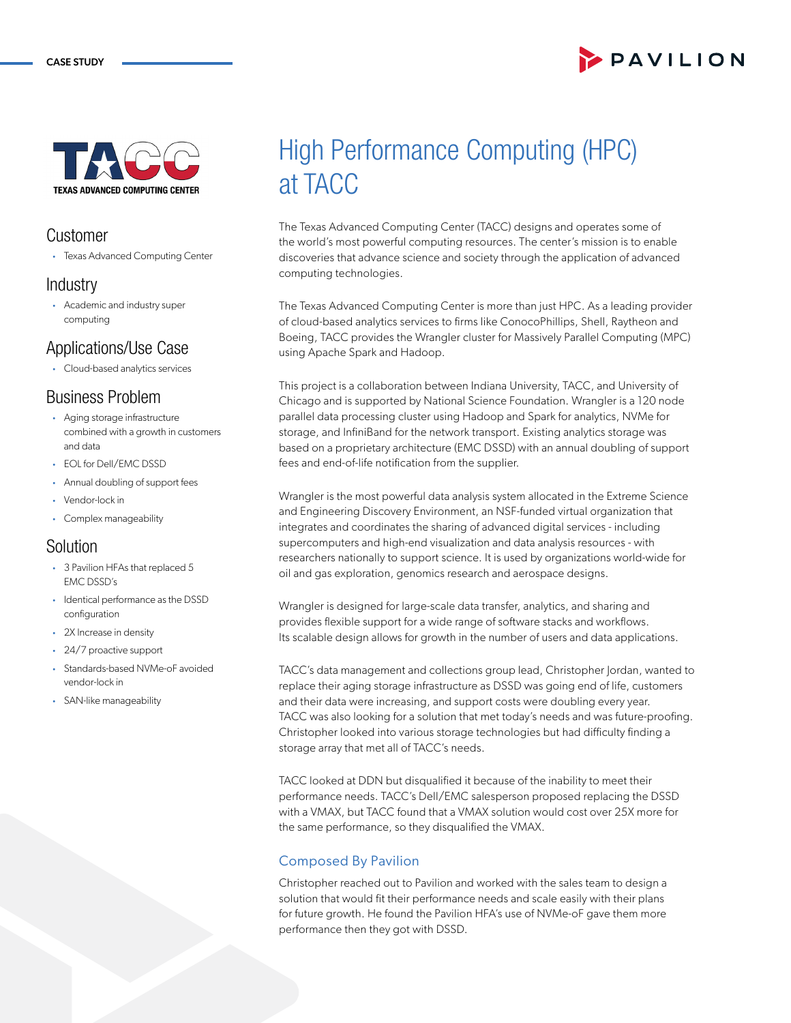# PAVILION



### **Customer**

• Texas Advanced Computing Center

### **Industry**

• Academic and industry super computing

## Applications/Use Case

• Cloud-based analytics services

### Business Problem

- Aging storage infrastructure combined with a growth in customers and data
- EOL for Dell/EMC DSSD
- Annual doubling of support fees
- Vendor-lock in
- Complex manageability

### Solution

- 3 Pavilion HFAs that replaced 5 EMC DSSD's
- Identical performance as the DSSD configuration
- 2X Increase in density
- 24/7 proactive support
- Standards-based NVMe-oF avoided vendor-lock in
- SAN-like manageability

# High Performance Computing (HPC) at TACC

The Texas Advanced Computing Center (TACC) designs and operates some of the world's most powerful computing resources. The center's mission is to enable discoveries that advance science and society through the application of advanced computing technologies.

The Texas Advanced Computing Center is more than just HPC. As a leading provider of cloud-based analytics services to firms like ConocoPhillips, Shell, Raytheon and Boeing, TACC provides the Wrangler cluster for Massively Parallel Computing (MPC) using Apache Spark and Hadoop.

This project is a collaboration between Indiana University, TACC, and University of Chicago and is supported by National Science Foundation. Wrangler is a 120 node parallel data processing cluster using Hadoop and Spark for analytics, NVMe for storage, and InfiniBand for the network transport. Existing analytics storage was based on a proprietary architecture (EMC DSSD) with an annual doubling of support fees and end-of-life notification from the supplier.

Wrangler is the most powerful data analysis system allocated in the Extreme Science and Engineering Discovery Environment, an NSF-funded virtual organization that integrates and coordinates the sharing of advanced digital services - including supercomputers and high-end visualization and data analysis resources - with researchers nationally to support science. It is used by organizations world-wide for oil and gas exploration, genomics research and aerospace designs.

Wrangler is designed for large-scale data transfer, analytics, and sharing and provides flexible support for a wide range of software stacks and workflows. Its scalable design allows for growth in the number of users and data applications.

TACC's data management and collections group lead, Christopher Jordan, wanted to replace their aging storage infrastructure as DSSD was going end of life, customers and their data were increasing, and support costs were doubling every year. TACC was also looking for a solution that met today's needs and was future-proofing. Christopher looked into various storage technologies but had difficulty finding a storage array that met all of TACC's needs.

TACC looked at DDN but disqualified it because of the inability to meet their performance needs. TACC's Dell/EMC salesperson proposed replacing the DSSD with a VMAX, but TACC found that a VMAX solution would cost over 25X more for the same performance, so they disqualified the VMAX.

### Composed By Pavilion

Christopher reached out to Pavilion and worked with the sales team to design a solution that would fit their performance needs and scale easily with their plans for future growth. He found the Pavilion HFA's use of NVMe-oF gave them more performance then they got with DSSD.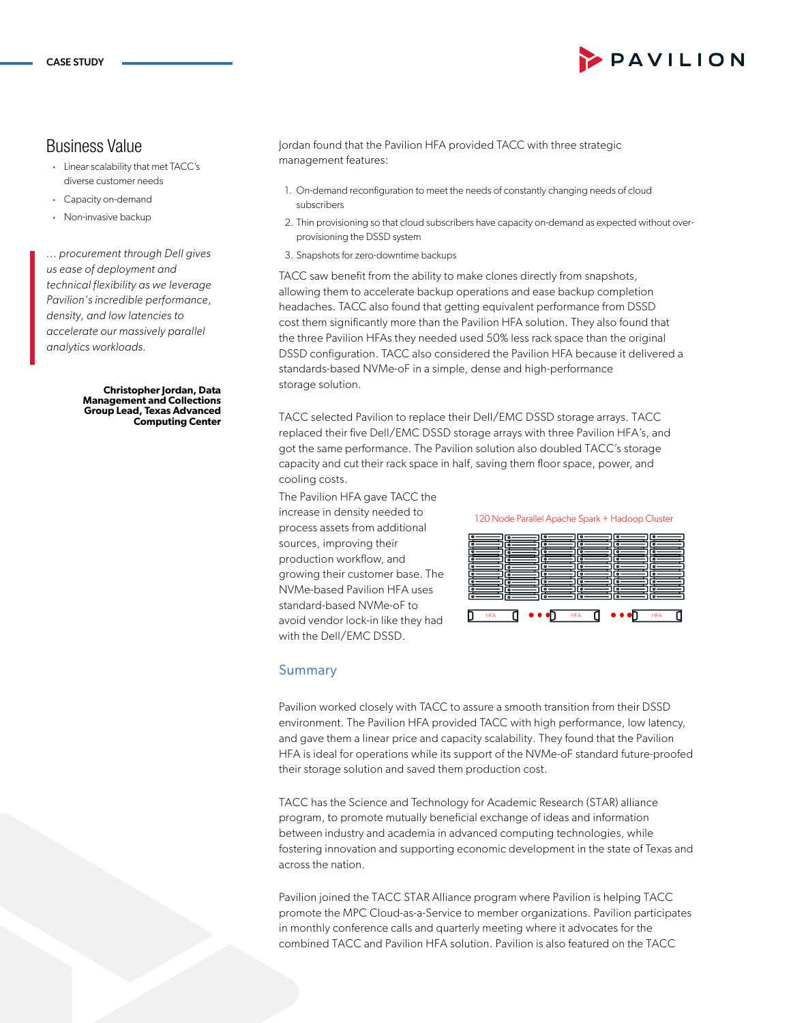### Business Value

- Linear scalability that met TACC's diverse customer needs
- Capacity on-demand
- Non-invasive backup

*... procurement through Dell gives us ease of deployment and technical flexibility as we leverage Pavilion's incredible performance, density, and low latencies to accelerate our massively parallel analytics workloads.*

> **Christopher Jordan, Data Management and Collections Group Lead, Texas Advanced Computing Center**

Jordan found that the Pavilion HFA provided TACC with three strategic management features:

- 1. On-demand reconfiguration to meet the needs of constantly changing needs of cloud subscribers
- 2. Thin provisioning so that cloud subscribers have capacity on-demand as expected without overprovisioning the DSSD system
- 3. Snapshots for zero-downtime backups

TACC saw benefit from the ability to make clones directly from snapshots, allowing them to accelerate backup operations and ease backup completion headaches. TACC also found that getting equivalent performance from DSSD cost them significantly more than the Pavilion HFA solution. They also found that the three Pavilion HFAs they needed used 50% less rack space than the original DSSD configuration. TACC also considered the Pavilion HFA because it delivered a standards-based NVMe-oF in a simple, dense and high-performance storage solution.

TACC selected Pavilion to replace their Dell/EMC DSSD storage arrays. TACC replaced their five Dell/EMC DSSD storage arrays with three Pavilion HFA's, and got the same performance. The Pavilion solution also doubled TACC's storage capacity and cut their rack space in half, saving them floor space, power, and cooling costs.

The Pavilion HFA gave TACC the increase in density needed to process assets from additional sources, improving their production workflow, and growing their customer base. The NVMe-based Pavilion HFA uses standard-based NVMe-oF to avoid vendor lock-in like they had with the Dell/EMC DSSD.

120 Node Parallel Apache Spark + Hadoop Cluster



#### Summary

Pavilion worked closely with TACC to assure a smooth transition from their DSSD environment. The Pavilion HFA provided TACC with high performance, low latency, and gave them a linear price and capacity scalability. They found that the Pavilion HFA is ideal for operations while its support of the NVMe-oF standard future-proofed their storage solution and saved them production cost.

TACC has the Science and Technology for Academic Research (STAR) alliance program, to promote mutually beneficial exchange of ideas and information between industry and academia in advanced computing technologies, while fostering innovation and supporting economic development in the state of Texas and across the nation.

Pavilion joined the TACC STAR Alliance program where Pavilion is helping TACC promote the MPC Cloud-as-a-Service to member organizations. Pavilion participates in monthly conference calls and quarterly meeting where it advocates for the combined TACC and Pavilion HFA solution. Pavilion is also featured on the TACC